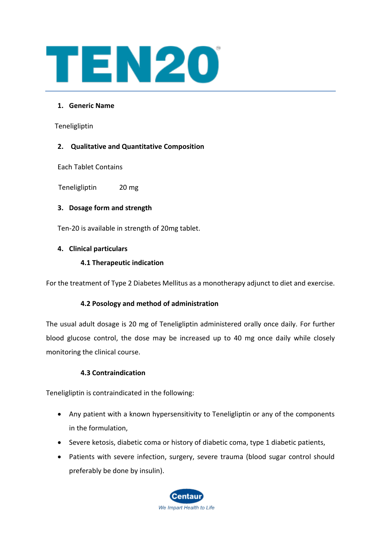

## **1. Generic Name**

Teneligliptin

## **2. Qualitative and Quantitative Composition**

Each Tablet Contains

Teneligliptin 20 mg

## **3. Dosage form and strength**

Ten-20 is available in strength of 20mg tablet.

## **4. Clinical particulars**

## **4.1 Therapeutic indication**

For the treatment of Type 2 Diabetes Mellitus as a monotherapy adjunct to diet and exercise.

## **4.2 Posology and method of administration**

The usual adult dosage is 20 mg of Teneligliptin administered orally once daily. For further blood glucose control, the dose may be increased up to 40 mg once daily while closely monitoring the clinical course.

## **4.3 Contraindication**

Teneligliptin is contraindicated in the following:

- Any patient with a known hypersensitivity to Teneligliptin or any of the components in the formulation,
- Severe ketosis, diabetic coma or history of diabetic coma, type 1 diabetic patients,
- Patients with severe infection, surgery, severe trauma (blood sugar control should preferably be done by insulin).

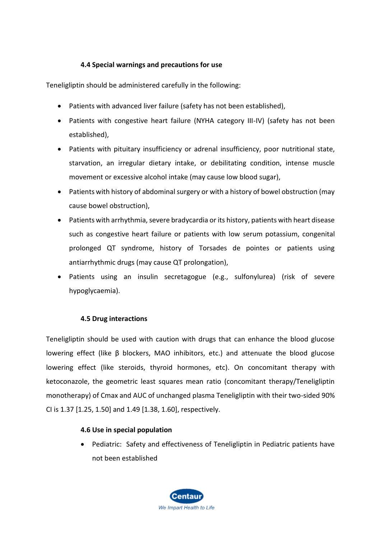## **4.4 Special warnings and precautions for use**

Teneligliptin should be administered carefully in the following:

- Patients with advanced liver failure (safety has not been established),
- Patients with congestive heart failure (NYHA category III-IV) (safety has not been established),
- Patients with pituitary insufficiency or adrenal insufficiency, poor nutritional state, starvation, an irregular dietary intake, or debilitating condition, intense muscle movement or excessive alcohol intake (may cause low blood sugar),
- Patients with history of abdominal surgery or with a history of bowel obstruction (may cause bowel obstruction),
- Patients with arrhythmia, severe bradycardia or its history, patients with heart disease such as congestive heart failure or patients with low serum potassium, congenital prolonged QT syndrome, history of Torsades de pointes or patients using antiarrhythmic drugs (may cause QT prolongation),
- Patients using an insulin secretagogue (e.g., sulfonylurea) (risk of severe hypoglycaemia).

## **4.5 Drug interactions**

Teneligliptin should be used with caution with drugs that can enhance the blood glucose lowering effect (like β blockers, MAO inhibitors, etc.) and attenuate the blood glucose lowering effect (like steroids, thyroid hormones, etc). On concomitant therapy with ketoconazole, the geometric least squares mean ratio (concomitant therapy/Teneligliptin monotherapy) of Cmax and AUC of unchanged plasma Teneligliptin with their two-sided 90% CI is 1.37 [1.25, 1.50] and 1.49 [1.38, 1.60], respectively.

## **4.6 Use in special population**

• Pediatric: Safety and effectiveness of Teneligliptin in Pediatric patients have not been established

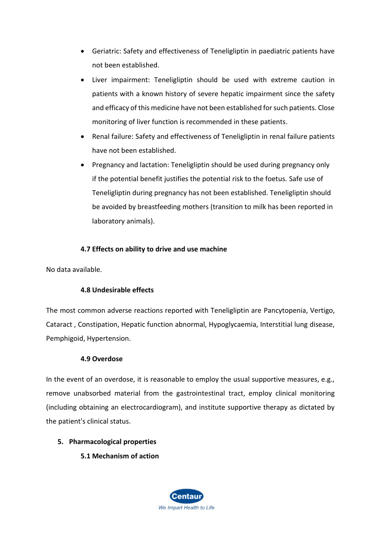- Geriatric: Safety and effectiveness of Teneligliptin in paediatric patients have not been established.
- Liver impairment: Teneligliptin should be used with extreme caution in patients with a known history of severe hepatic impairment since the safety and efficacy of this medicine have not been established for such patients. Close monitoring of liver function is recommended in these patients.
- Renal failure: Safety and effectiveness of Teneligliptin in renal failure patients have not been established.
- Pregnancy and lactation: Teneligliptin should be used during pregnancy only if the potential benefit justifies the potential risk to the foetus. Safe use of Teneligliptin during pregnancy has not been established. Teneligliptin should be avoided by breastfeeding mothers (transition to milk has been reported in laboratory animals).

# **4.7 Effects on ability to drive and use machine**

No data available.

## **4.8 Undesirable effects**

The most common adverse reactions reported with Teneligliptin are Pancytopenia, Vertigo, Cataract , Constipation, Hepatic function abnormal, Hypoglycaemia, Interstitial lung disease, Pemphigoid, Hypertension.

## **4.9 Overdose**

In the event of an overdose, it is reasonable to employ the usual supportive measures, e.g., remove unabsorbed material from the gastrointestinal tract, employ clinical monitoring (including obtaining an electrocardiogram), and institute supportive therapy as dictated by the patient's clinical status.

## **5. Pharmacological properties**

**5.1 Mechanism of action**

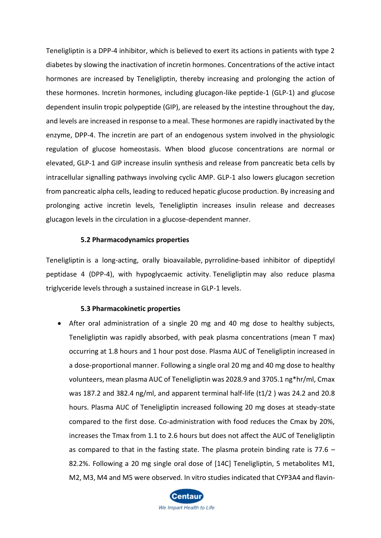Teneligliptin is a DPP-4 inhibitor, which is believed to exert its actions in patients with type 2 diabetes by slowing the inactivation of incretin hormones. Concentrations of the active intact hormones are increased by Teneligliptin, thereby increasing and prolonging the action of these hormones. Incretin hormones, including glucagon-like peptide-1 (GLP-1) and glucose dependent insulin tropic polypeptide (GIP), are released by the intestine throughout the day, and levels are increased in response to a meal. These hormones are rapidly inactivated by the enzyme, DPP-4. The incretin are part of an endogenous system involved in the physiologic regulation of glucose homeostasis. When blood glucose concentrations are normal or elevated, GLP-1 and GIP increase insulin synthesis and release from pancreatic beta cells by intracellular signalling pathways involving cyclic AMP. GLP-1 also lowers glucagon secretion from pancreatic alpha cells, leading to reduced hepatic glucose production. By increasing and prolonging active incretin levels, Teneligliptin increases insulin release and decreases glucagon levels in the circulation in a glucose-dependent manner.

#### **5.2 Pharmacodynamics properties**

Teneligliptin is a long-acting, orally bioavailable, [pyrrolidine-](https://pubchem.ncbi.nlm.nih.gov/compound/pyrrolidine)based inhibitor of dipeptidyl peptidase 4 (DPP-4), with hypoglycaemic activity. Teneligliptin may also reduce plasma triglyceride levels through a sustained increase in GLP-1 levels.

#### **5.3 Pharmacokinetic properties**

• After oral administration of a single 20 mg and 40 mg dose to healthy subjects, Teneligliptin was rapidly absorbed, with peak plasma concentrations (mean T max) occurring at 1.8 hours and 1 hour post dose. Plasma AUC of Teneligliptin increased in a dose-proportional manner. Following a single oral 20 mg and 40 mg dose to healthy volunteers, mean plasma AUC of Teneligliptin was 2028.9 and 3705.1 ng\*hr/ml, Cmax was 187.2 and 382.4 ng/ml, and apparent terminal half-life (t1/2 ) was 24.2 and 20.8 hours. Plasma AUC of Teneligliptin increased following 20 mg doses at steady-state compared to the first dose. Co-administration with food reduces the Cmax by 20%, increases the Tmax from 1.1 to 2.6 hours but does not affect the AUC of Teneligliptin as compared to that in the fasting state. The plasma protein binding rate is 77.6 – 82.2%. Following a 20 mg single oral dose of [14C] Teneligliptin, 5 metabolites M1, M2, M3, M4 and M5 were observed. In vitro studies indicated that CYP3A4 and flavin-

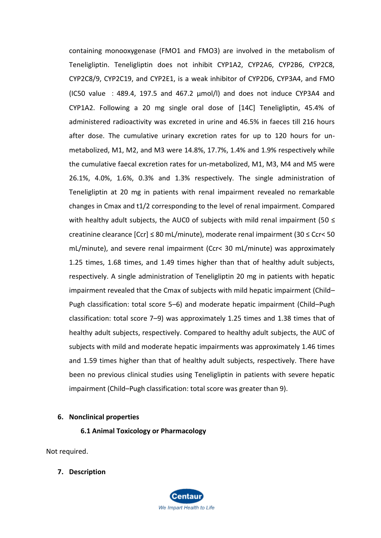containing monooxygenase (FMO1 and FMO3) are involved in the metabolism of Teneligliptin. Teneligliptin does not inhibit CYP1A2, CYP2A6, CYP2B6, CYP2C8, CYP2C8/9, CYP2C19, and CYP2E1, is a weak inhibitor of CYP2D6, CYP3A4, and FMO (IC50 value :489.4, 197.5 and 467.2 µmol/l) and does not induce CYP3A4 and CYP1A2. Following a 20 mg single oral dose of [14C] Teneligliptin, 45.4% of administered radioactivity was excreted in urine and 46.5% in faeces till 216 hours after dose. The cumulative urinary excretion rates for up to 120 hours for unmetabolized, M1, M2, and M3 were 14.8%, 17.7%, 1.4% and 1.9% respectively while the cumulative faecal excretion rates for un-metabolized, M1, M3, M4 and M5 were 26.1%, 4.0%, 1.6%, 0.3% and 1.3% respectively. The single administration of Teneligliptin at 20 mg in patients with renal impairment revealed no remarkable changes in Cmax and t1/2 corresponding to the level of renal impairment. Compared with healthy adult subjects, the AUC0 of subjects with mild renal impairment (50  $\leq$ creatinine clearance [Ccr] ≤ 80 mL/minute), moderate renal impairment (30 ≤ Ccr< 50 mL/minute), and severe renal impairment (Ccr< 30 mL/minute) was approximately 1.25 times, 1.68 times, and 1.49 times higher than that of healthy adult subjects, respectively. A single administration of Teneligliptin 20 mg in patients with hepatic impairment revealed that the Cmax of subjects with mild hepatic impairment (Child– Pugh classification: total score 5–6) and moderate hepatic impairment (Child–Pugh classification: total score 7–9) was approximately 1.25 times and 1.38 times that of healthy adult subjects, respectively. Compared to healthy adult subjects, the AUC of subjects with mild and moderate hepatic impairments was approximately 1.46 times and 1.59 times higher than that of healthy adult subjects, respectively. There have been no previous clinical studies using Teneligliptin in patients with severe hepatic impairment (Child–Pugh classification: total score was greater than 9).

## **6. Nonclinical properties**

**6.1 Animal Toxicology or Pharmacology**

Not required.

**7. Description**

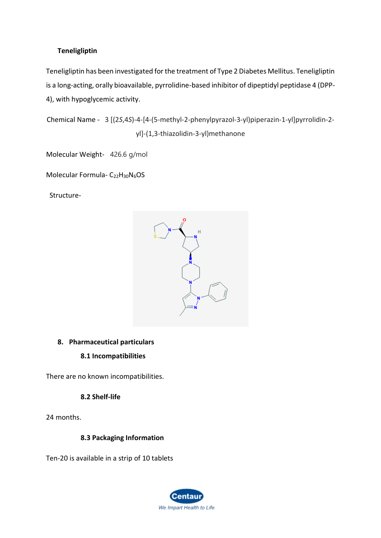# **Teneligliptin**

Teneligliptin has been investigated for the treatment of Type 2 Diabetes Mellitus. Teneligliptin is a long-acting, orally bioavailable, pyrrolidine-based inhibitor of dipeptidyl peptidase 4 (DPP-4), with hypoglycemic activity.

Chemical Name - 3 [(2*S*,4*S*)-4-[4-(5-methyl-2-phenylpyrazol-3-yl)piperazin-1-yl]pyrrolidin-2 yl]-(1,3-thiazolidin-3-yl)methanone

Molecular Weight- 426.6 g/mol

Molecular Formula- C<sub>22</sub>H<sub>30</sub>N<sub>6</sub>OS

Structure-



## **8. Pharmaceutical particulars**

## **8.1 Incompatibilities**

There are no known incompatibilities.

## **8.2 Shelf-life**

24 months.

## **8.3 Packaging Information**

Ten-20 is available in a strip of 10 tablets

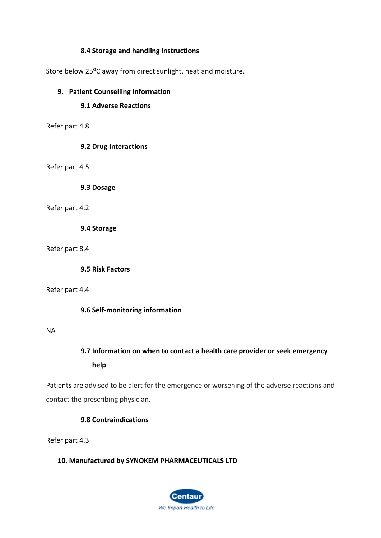## **8.4 Storage and handling instructions**

Store below 25°C away from direct sunlight, heat and moisture.

## **9. Patient Counselling Information**

## **9.1 Adverse Reactions**

Refer part 4.8

## **9.2 Drug Interactions**

Refer part 4.5

**9.3 Dosage**

#### Refer part 4.2

**9.4 Storage**

Refer part 8.4

**9.5 Risk Factors**

#### Refer part 4.4

**9.6 Self-monitoring information**

## NA

# **9.7 Information on when to contact a health care provider or seek emergency help**

Patients are advised to be alert for the emergence or worsening of the adverse reactions and contact the prescribing physician.

## **9.8 Contraindications**

Refer part 4.3

## **10. Manufactured by SYNOKEM PHARMACEUTICALS LTD**